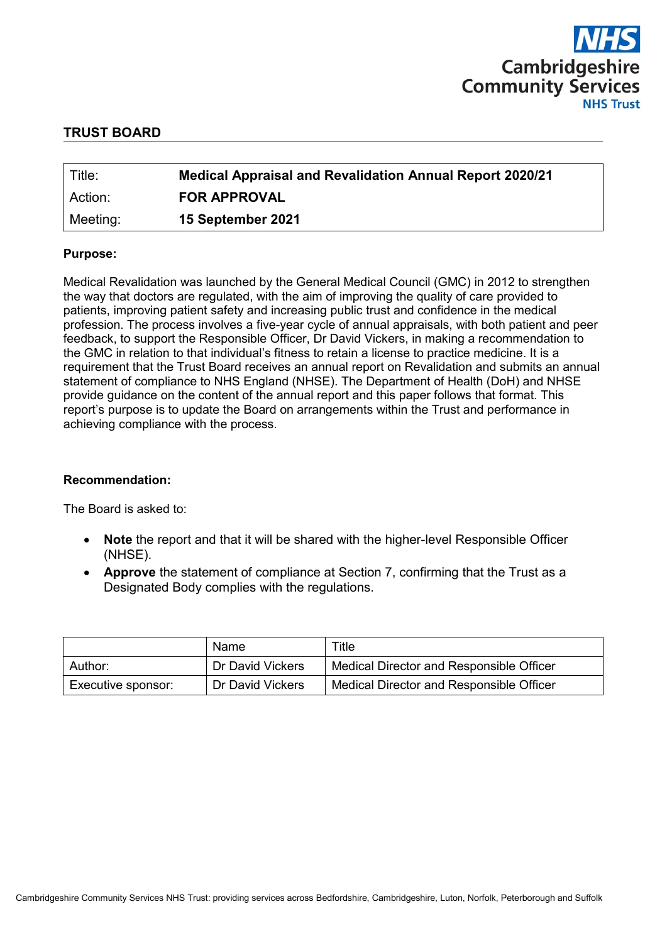

### **TRUST BOARD**

| Title:   | <b>Medical Appraisal and Revalidation Annual Report 2020/21</b> |
|----------|-----------------------------------------------------------------|
| Action:  | <b>FOR APPROVAL</b>                                             |
| Meeting: | 15 September 2021                                               |

#### **Purpose:**

Medical Revalidation was launched by the General Medical Council (GMC) in 2012 to strengthen the way that doctors are regulated, with the aim of improving the quality of care provided to patients, improving patient safety and increasing public trust and confidence in the medical profession. The process involves a five-year cycle of annual appraisals, with both patient and peer feedback, to support the Responsible Officer, Dr David Vickers, in making a recommendation to the GMC in relation to that individual's fitness to retain a license to practice medicine. It is a requirement that the Trust Board receives an annual report on Revalidation and submits an annual statement of compliance to NHS England (NHSE). The Department of Health (DoH) and NHSE provide guidance on the content of the annual report and this paper follows that format. This report's purpose is to update the Board on arrangements within the Trust and performance in achieving compliance with the process.

### **Recommendation:**

The Board is asked to:

- **Note** the report and that it will be shared with the higher-level Responsible Officer (NHSE).
- **Approve** the statement of compliance at Section 7, confirming that the Trust as a Designated Body complies with the regulations.

|                    | Name             | $\tau$ itle                              |
|--------------------|------------------|------------------------------------------|
| Author:            | Dr David Vickers | Medical Director and Responsible Officer |
| Executive sponsor: | Dr David Vickers | Medical Director and Responsible Officer |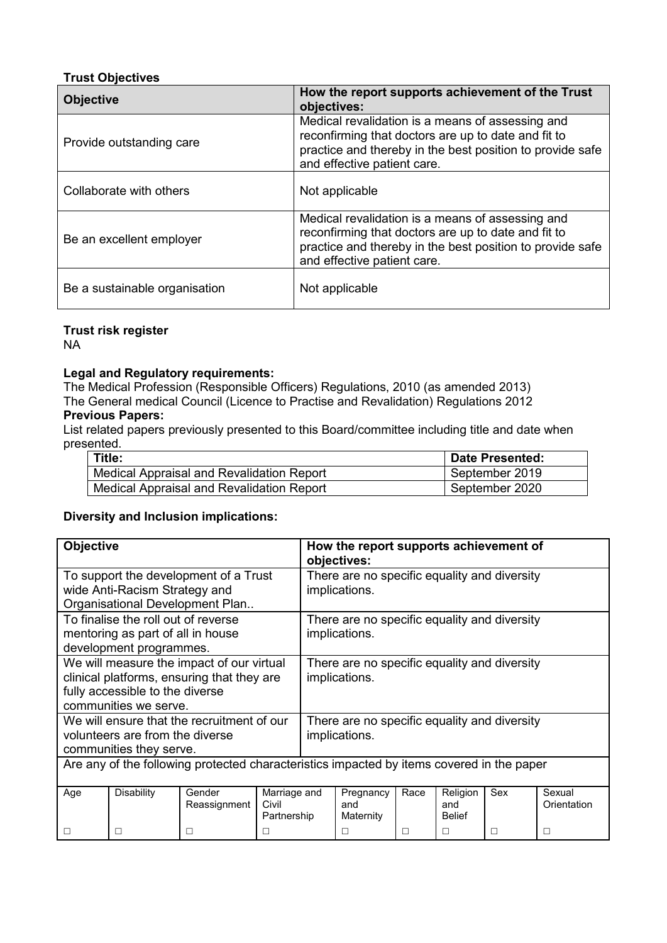### **Trust Objectives**

| <b>Objective</b>              | How the report supports achievement of the Trust<br>objectives:                                                                                                                                     |
|-------------------------------|-----------------------------------------------------------------------------------------------------------------------------------------------------------------------------------------------------|
| Provide outstanding care      | Medical revalidation is a means of assessing and<br>reconfirming that doctors are up to date and fit to<br>practice and thereby in the best position to provide safe<br>and effective patient care. |
| Collaborate with others       | Not applicable                                                                                                                                                                                      |
| Be an excellent employer      | Medical revalidation is a means of assessing and<br>reconfirming that doctors are up to date and fit to<br>practice and thereby in the best position to provide safe<br>and effective patient care. |
| Be a sustainable organisation | Not applicable                                                                                                                                                                                      |

### **Trust risk register**

NA

### **Legal and Regulatory requirements:**

The Medical Profession (Responsible Officers) Regulations, 2010 (as amended 2013) The General medical Council (Licence to Practise and Revalidation) Regulations 2012

## **Previous Papers:**

List related papers previously presented to this Board/committee including title and date when presented.

| Title:                                           | ∣ Date Presented: |
|--------------------------------------------------|-------------------|
| <b>Medical Appraisal and Revalidation Report</b> | September 2019    |
| <b>Medical Appraisal and Revalidation Report</b> | September 2020    |

### **Diversity and Inclusion implications:**

| <b>Objective</b>                                                                                                                                    |                   |                        | How the report supports achievement of<br>objectives:         |  |                               |      |                                  |     |                       |
|-----------------------------------------------------------------------------------------------------------------------------------------------------|-------------------|------------------------|---------------------------------------------------------------|--|-------------------------------|------|----------------------------------|-----|-----------------------|
| To support the development of a Trust<br>wide Anti-Racism Strategy and<br>Organisational Development Plan                                           |                   |                        | There are no specific equality and diversity<br>implications. |  |                               |      |                                  |     |                       |
| To finalise the roll out of reverse<br>mentoring as part of all in house<br>development programmes.                                                 |                   |                        | There are no specific equality and diversity<br>implications. |  |                               |      |                                  |     |                       |
| We will measure the impact of our virtual<br>clinical platforms, ensuring that they are<br>fully accessible to the diverse<br>communities we serve. |                   |                        | There are no specific equality and diversity<br>implications. |  |                               |      |                                  |     |                       |
| We will ensure that the recruitment of our<br>volunteers are from the diverse<br>communities they serve.                                            |                   |                        | There are no specific equality and diversity<br>implications. |  |                               |      |                                  |     |                       |
| Are any of the following protected characteristics impacted by items covered in the paper                                                           |                   |                        |                                                               |  |                               |      |                                  |     |                       |
| Age                                                                                                                                                 | <b>Disability</b> | Gender<br>Reassignment | Marriage and<br>Civil<br>Partnership                          |  | Pregnancy<br>and<br>Maternity | Race | Religion<br>and<br><b>Belief</b> | Sex | Sexual<br>Orientation |
|                                                                                                                                                     | □                 |                        | □                                                             |  | П                             | П    | □                                | П   | $\Box$                |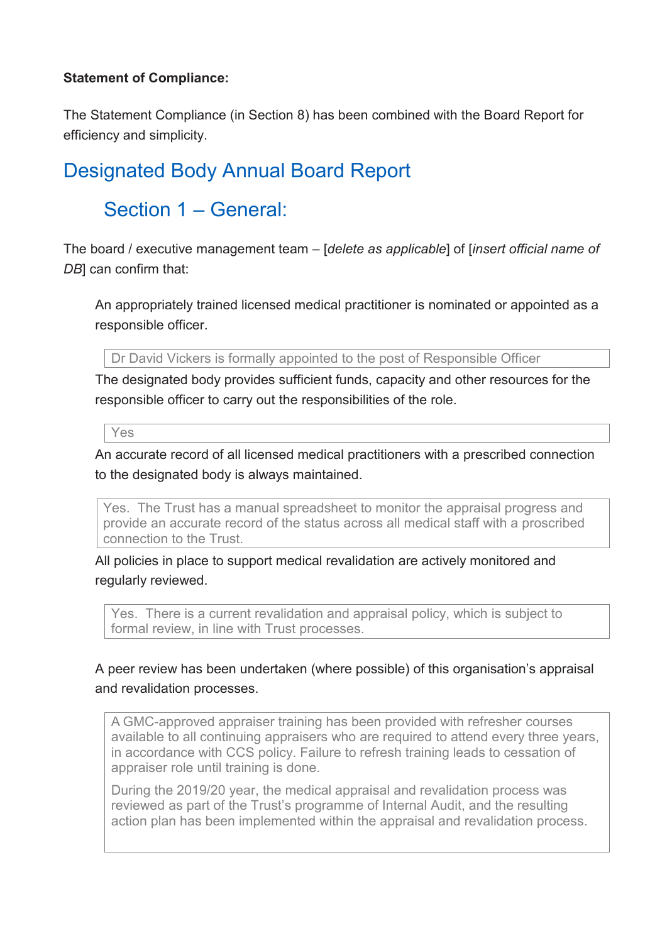### **Statement of Compliance:**

The Statement Compliance (in Section 8) has been combined with the Board Report for efficiency and simplicity.

## Designated Body Annual Board Report

## Section 1 – General:

The board / executive management team – [*delete as applicable*] of [*insert official name of DB*] can confirm that:

An appropriately trained licensed medical practitioner is nominated or appointed as a responsible officer.

Dr David Vickers is formally appointed to the post of Responsible Officer

The designated body provides sufficient funds, capacity and other resources for the responsible officer to carry out the responsibilities of the role.

Yes

An accurate record of all licensed medical practitioners with a prescribed connection to the designated body is always maintained.

Yes. The Trust has a manual spreadsheet to monitor the appraisal progress and provide an accurate record of the status across all medical staff with a proscribed connection to the Trust.

All policies in place to support medical revalidation are actively monitored and regularly reviewed.

Yes. There is a current revalidation and appraisal policy, which is subject to formal review, in line with Trust processes.

## A peer review has been undertaken (where possible) of this organisation's appraisal and revalidation processes.

A GMC-approved appraiser training has been provided with refresher courses available to all continuing appraisers who are required to attend every three years, in accordance with CCS policy. Failure to refresh training leads to cessation of appraiser role until training is done.

During the 2019/20 year, the medical appraisal and revalidation process was reviewed as part of the Trust's programme of Internal Audit, and the resulting action plan has been implemented within the appraisal and revalidation process.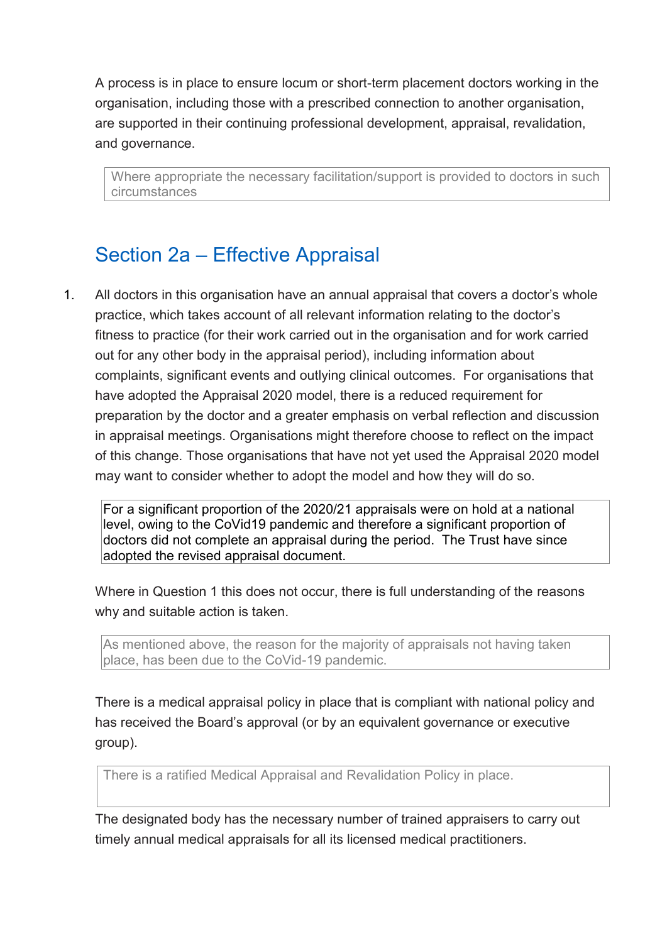A process is in place to ensure locum or short-term placement doctors working in the organisation, including those with a prescribed connection to another organisation, are supported in their continuing professional development, appraisal, revalidation, and governance.

Where appropriate the necessary facilitation/support is provided to doctors in such circumstances

## Section 2a – Effective Appraisal

1. All doctors in this organisation have an annual appraisal that covers a doctor's whole practice, which takes account of all relevant information relating to the doctor's fitness to practice (for their work carried out in the organisation and for work carried out for any other body in the appraisal period), including information about complaints, significant events and outlying clinical outcomes. For organisations that have adopted the Appraisal 2020 model, there is a reduced requirement for preparation by the doctor and a greater emphasis on verbal reflection and discussion in appraisal meetings. Organisations might therefore choose to reflect on the impact of this change. Those organisations that have not yet used the Appraisal 2020 model may want to consider whether to adopt the model and how they will do so.

For a significant proportion of the 2020/21 appraisals were on hold at a national level, owing to the CoVid19 pandemic and therefore a significant proportion of doctors did not complete an appraisal during the period. The Trust have since adopted the revised appraisal document.

Where in Question 1 this does not occur, there is full understanding of the reasons why and suitable action is taken.

As mentioned above, the reason for the majority of appraisals not having taken place, has been due to the CoVid-19 pandemic.

There is a medical appraisal policy in place that is compliant with national policy and has received the Board's approval (or by an equivalent governance or executive group).

There is a ratified Medical Appraisal and Revalidation Policy in place.

The designated body has the necessary number of trained appraisers to carry out timely annual medical appraisals for all its licensed medical practitioners.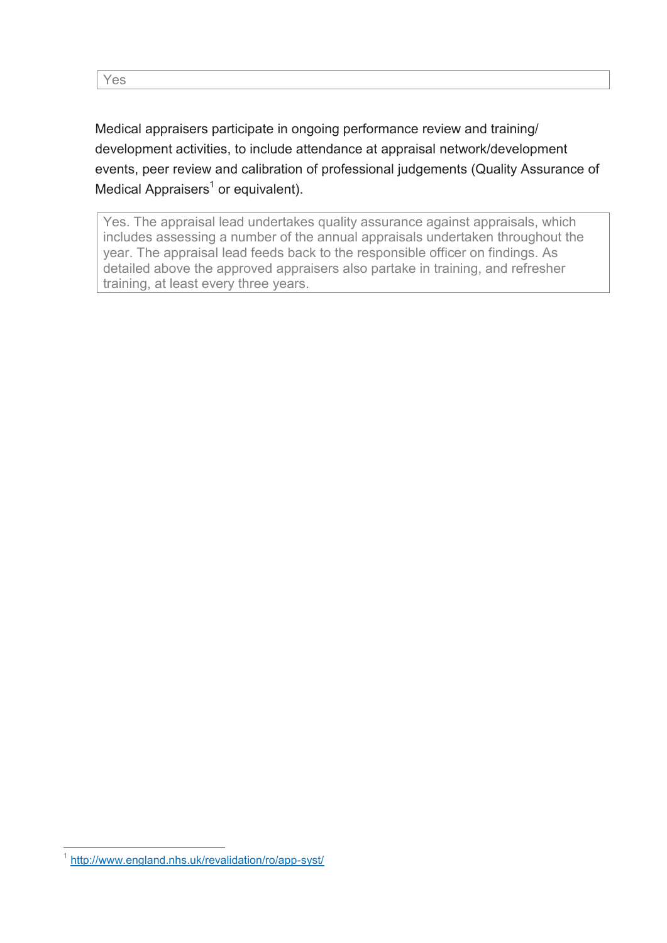Medical appraisers participate in ongoing performance review and training/ development activities, to include attendance at appraisal network/development events, peer review and calibration of professional judgements (Quality Assurance of Medical Appraisers<sup>1</sup> or equivalent).

Yes. The appraisal lead undertakes quality assurance against appraisals, which includes assessing a number of the annual appraisals undertaken throughout the year. The appraisal lead feeds back to the responsible officer on findings. As detailed above the approved appraisers also partake in training, and refresher training, at least every three years.

 1 <http://www.england.nhs.uk/revalidation/ro/app-syst/>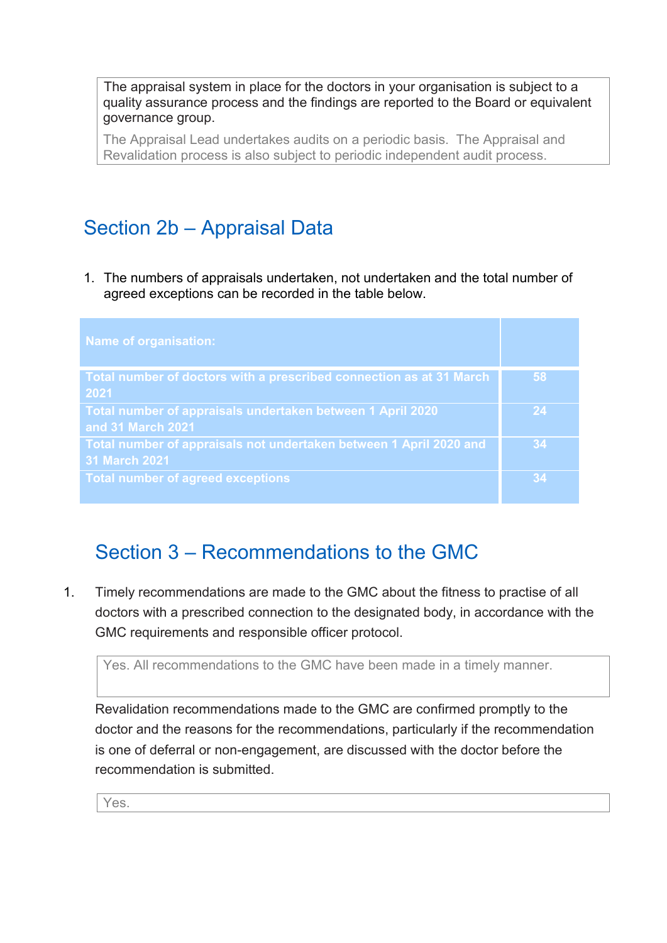The appraisal system in place for the doctors in your organisation is subject to a quality assurance process and the findings are reported to the Board or equivalent governance group.

The Appraisal Lead undertakes audits on a periodic basis. The Appraisal and Revalidation process is also subject to periodic independent audit process.

# Section 2b – Appraisal Data

1. The numbers of appraisals undertaken, not undertaken and the total number of agreed exceptions can be recorded in the table below.

| <b>Name of organisation:</b>                                                               |    |
|--------------------------------------------------------------------------------------------|----|
| Total number of doctors with a prescribed connection as at 31 March<br>2021                | 58 |
| Total number of appraisals undertaken between 1 April 2020<br>and 31 March 2021            | 24 |
| Total number of appraisals not undertaken between 1 April 2020 and<br><b>31 March 2021</b> | 34 |
| <b>Total number of agreed exceptions</b>                                                   | 34 |

## Section 3 – Recommendations to the GMC

1. Timely recommendations are made to the GMC about the fitness to practise of all doctors with a prescribed connection to the designated body, in accordance with the GMC requirements and responsible officer protocol.

```
Yes. All recommendations to the GMC have been made in a timely manner.
```
Revalidation recommendations made to the GMC are confirmed promptly to the doctor and the reasons for the recommendations, particularly if the recommendation is one of deferral or non-engagement, are discussed with the doctor before the recommendation is submitted.

Yes.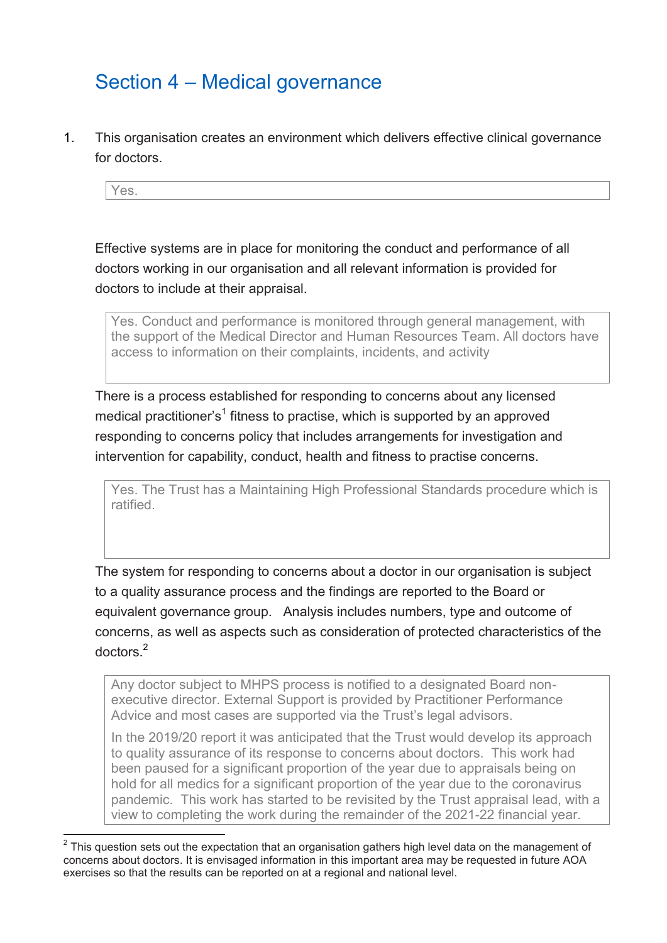## Section 4 – Medical governance

1. This organisation creates an environment which delivers effective clinical governance for doctors.

Yes.

Effective systems are in place for monitoring the conduct and performance of all doctors working in our organisation and all relevant information is provided for doctors to include at their appraisal.

Yes. Conduct and performance is monitored through general management, with the support of the Medical Director and Human Resources Team. All doctors have access to information on their complaints, incidents, and activity

There is a process established for responding to concerns about any licensed medical practitioner's $^1$  fitness to practise, which is supported by an approved responding to concerns policy that includes arrangements for investigation and intervention for capability, conduct, health and fitness to practise concerns.

Yes. The Trust has a Maintaining High Professional Standards procedure which is ratified.

The system for responding to concerns about a doctor in our organisation is subject to a quality assurance process and the findings are reported to the Board or equivalent governance group. Analysis includes numbers, type and outcome of concerns, as well as aspects such as consideration of protected characteristics of the doctors. 2

Any doctor subject to MHPS process is notified to a designated Board nonexecutive director. External Support is provided by Practitioner Performance Advice and most cases are supported via the Trust's legal advisors.

In the 2019/20 report it was anticipated that the Trust would develop its approach to quality assurance of its response to concerns about doctors. This work had been paused for a significant proportion of the year due to appraisals being on hold for all medics for a significant proportion of the year due to the coronavirus pandemic. This work has started to be revisited by the Trust appraisal lead, with a view to completing the work during the remainder of the 2021-22 financial year.

1

 $^{\text{2}}$  This question sets out the expectation that an organisation gathers high level data on the management of concerns about doctors. It is envisaged information in this important area may be requested in future AOA exercises so that the results can be reported on at a regional and national level.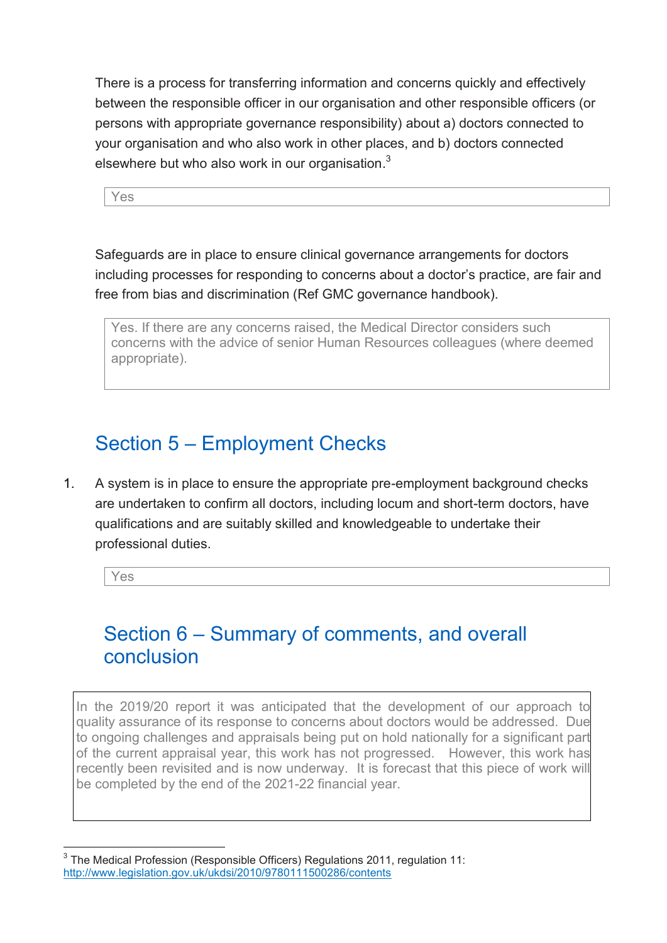There is a process for transferring information and concerns quickly and effectively between the responsible officer in our organisation and other responsible officers (or persons with appropriate governance responsibility) about a) doctors connected to your organisation and who also work in other places, and b) doctors connected elsewhere but who also work in our organisation. $^3$ 

Yes

Safeguards are in place to ensure clinical governance arrangements for doctors including processes for responding to concerns about a doctor's practice, are fair and free from bias and discrimination (Ref GMC governance handbook).

Yes. If there are any concerns raised, the Medical Director considers such concerns with the advice of senior Human Resources colleagues (where deemed appropriate).

# Section 5 – Employment Checks

1. A system is in place to ensure the appropriate pre-employment background checks are undertaken to confirm all doctors, including locum and short-term doctors, have qualifications and are suitably skilled and knowledgeable to undertake their professional duties.

Yes

1

## Section 6 – Summary of comments, and overall conclusion

In the 2019/20 report it was anticipated that the development of our approach to quality assurance of its response to concerns about doctors would be addressed. Due to ongoing challenges and appraisals being put on hold nationally for a significant part of the current appraisal year, this work has not progressed. However, this work has recently been revisited and is now underway. It is forecast that this piece of work will be completed by the end of the 2021-22 financial year.

 $^3$  The Medical Profession (Responsible Officers) Regulations 2011, regulation 11: <http://www.legislation.gov.uk/ukdsi/2010/9780111500286/contents>